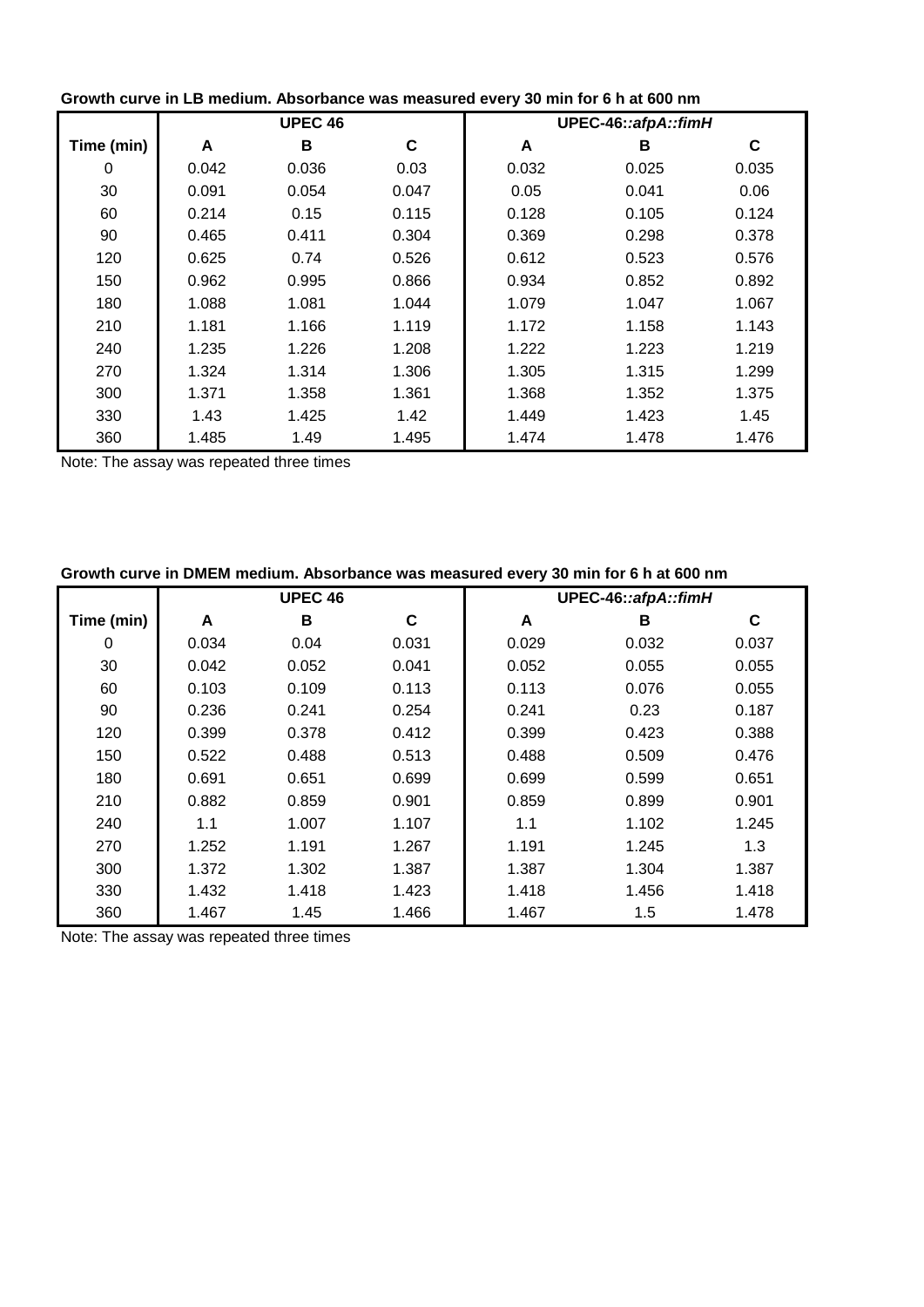| Growth curve in LD medium. Absorbance was measured every 30 min for 0 if at 000 min |                |       |       |                     |       |       |  |
|-------------------------------------------------------------------------------------|----------------|-------|-------|---------------------|-------|-------|--|
|                                                                                     | <b>UPEC 46</b> |       |       | UPEC-46::afpA::fimH |       |       |  |
| Time (min)                                                                          | A              | B     | C     | A                   | В     | C     |  |
| 0                                                                                   | 0.042          | 0.036 | 0.03  | 0.032               | 0.025 | 0.035 |  |
| 30                                                                                  | 0.091          | 0.054 | 0.047 | 0.05                | 0.041 | 0.06  |  |
| 60                                                                                  | 0.214          | 0.15  | 0.115 | 0.128               | 0.105 | 0.124 |  |
| 90                                                                                  | 0.465          | 0.411 | 0.304 | 0.369               | 0.298 | 0.378 |  |
| 120                                                                                 | 0.625          | 0.74  | 0.526 | 0.612               | 0.523 | 0.576 |  |
| 150                                                                                 | 0.962          | 0.995 | 0.866 | 0.934               | 0.852 | 0.892 |  |
| 180                                                                                 | 1.088          | 1.081 | 1.044 | 1.079               | 1.047 | 1.067 |  |
| 210                                                                                 | 1.181          | 1.166 | 1.119 | 1.172               | 1.158 | 1.143 |  |
| 240                                                                                 | 1.235          | 1.226 | 1.208 | 1.222               | 1.223 | 1.219 |  |
| 270                                                                                 | 1.324          | 1.314 | 1.306 | 1.305               | 1.315 | 1.299 |  |
| 300                                                                                 | 1.371          | 1.358 | 1.361 | 1.368               | 1.352 | 1.375 |  |
| 330                                                                                 | 1.43           | 1.425 | 1.42  | 1.449               | 1.423 | 1.45  |  |
| 360                                                                                 | 1.485          | 1.49  | 1.495 | 1.474               | 1.478 | 1.476 |  |

| Growth curve in LB medium. Absorbance was measured every 30 min for 6 h at 600 nm |  |  |  |
|-----------------------------------------------------------------------------------|--|--|--|
|                                                                                   |  |  |  |

Note: The assay was repeated three times

| Growth curve in DMEM medium. Absorbance was measured every 30 min for 6 h at 600 nm |                |       |       |                     |       |       |  |
|-------------------------------------------------------------------------------------|----------------|-------|-------|---------------------|-------|-------|--|
|                                                                                     | <b>UPEC 46</b> |       |       | UPEC-46::afpA::fimH |       |       |  |
| Time (min)                                                                          | A              | в     | C     | A                   | B     | C     |  |
| 0                                                                                   | 0.034          | 0.04  | 0.031 | 0.029               | 0.032 | 0.037 |  |
| 30                                                                                  | 0.042          | 0.052 | 0.041 | 0.052               | 0.055 | 0.055 |  |
| 60                                                                                  | 0.103          | 0.109 | 0.113 | 0.113               | 0.076 | 0.055 |  |
| 90                                                                                  | 0.236          | 0.241 | 0.254 | 0.241               | 0.23  | 0.187 |  |
| 120                                                                                 | 0.399          | 0.378 | 0.412 | 0.399               | 0.423 | 0.388 |  |
| 150                                                                                 | 0.522          | 0.488 | 0.513 | 0.488               | 0.509 | 0.476 |  |
| 180                                                                                 | 0.691          | 0.651 | 0.699 | 0.699               | 0.599 | 0.651 |  |
| 210                                                                                 | 0.882          | 0.859 | 0.901 | 0.859               | 0.899 | 0.901 |  |
| 240                                                                                 | 1.1            | 1.007 | 1.107 | 1.1                 | 1.102 | 1.245 |  |
| 270                                                                                 | 1.252          | 1.191 | 1.267 | 1.191               | 1.245 | 1.3   |  |
| 300                                                                                 | 1.372          | 1.302 | 1.387 | 1.387               | 1.304 | 1.387 |  |
| 330                                                                                 | 1.432          | 1.418 | 1.423 | 1.418               | 1.456 | 1.418 |  |
| 360                                                                                 | 1.467          | 1.45  | 1.466 | 1.467               | 1.5   | 1.478 |  |

**Growth curve in DMEM medium. Absorbance was measured every 30 min for 6 h at 600 nm**

Note: The assay was repeated three times